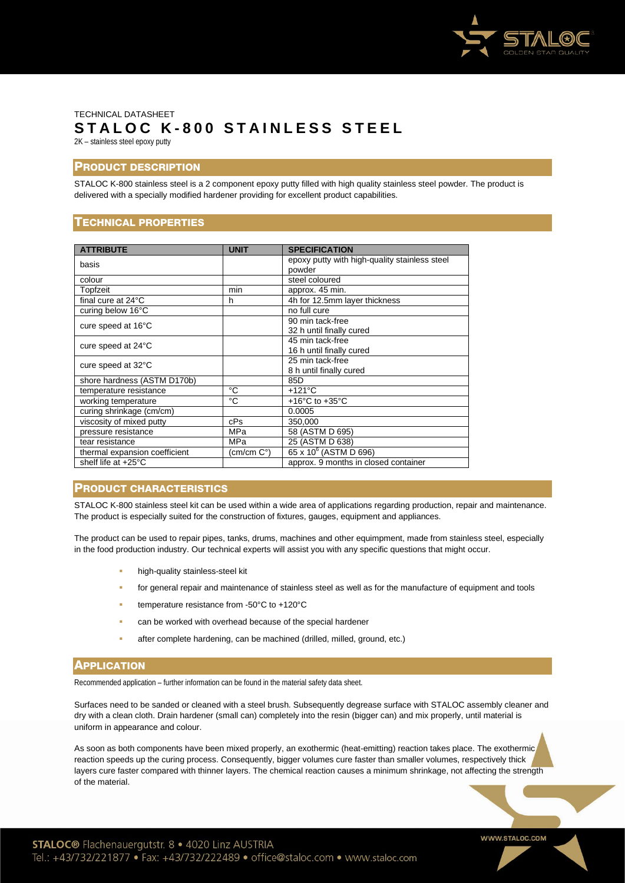

# TECHNICAL DATASHEET **STALOC K - 8 0 0 STAINLESS STEEL** 2K – stainless steel epoxy putty

# PRODUCT DESCRIPTION

STALOC K-800 stainless steel is a 2 component epoxy putty filled with high quality stainless steel powder. The product is delivered with a specially modified hardener providing for excellent product capabilities.

# TECHNICAL PROPERTIES

| <b>ATTRIBUTE</b>              | <b>UNIT</b> | <b>SPECIFICATION</b>                          |
|-------------------------------|-------------|-----------------------------------------------|
| basis                         |             | epoxy putty with high-quality stainless steel |
|                               |             | powder                                        |
| colour                        |             | steel coloured                                |
| Topfzeit                      | min         | approx. 45 min.                               |
| final cure at 24°C            | h           | 4h for 12.5mm layer thickness                 |
| curing below 16°C             |             | no full cure                                  |
| cure speed at 16°C            |             | 90 min tack-free                              |
|                               |             | 32 h until finally cured                      |
| cure speed at 24°C            |             | 45 min tack-free                              |
|                               |             | 16 h until finally cured                      |
| cure speed at 32°C            |             | 25 min tack-free                              |
|                               |             | 8 h until finally cured                       |
| shore hardness (ASTM D170b)   |             | 85D                                           |
| temperature resistance        | °C          | $+121^{\circ}$ C                              |
| working temperature           | °C          | +16 $^{\circ}$ C to +35 $^{\circ}$ C          |
| curing shrinkage (cm/cm)      |             | 0.0005                                        |
| viscosity of mixed putty      | cPs         | 350,000                                       |
| pressure resistance           | MPa         | 58 (ASTM D 695)                               |
| tear resistance               | MPa         | 25 (ASTM D 638)                               |
| thermal expansion coefficient | (cm/cm C°)  | 65 x 10 <sup>6</sup> (ASTM D 696)             |
| shelf life at +25°C           |             | approx. 9 months in closed container          |

#### PRODUCT CHARACTERISTICS

STALOC K-800 stainless steel kit can be used within a wide area of applications regarding production, repair and maintenance. The product is especially suited for the construction of fixtures, gauges, equipment and appliances.

The product can be used to repair pipes, tanks, drums, machines and other equimpment, made from stainless steel, especially in the food production industry. Our technical experts will assist you with any specific questions that might occur.

- high-quality stainless-steel kit
- for general repair and maintenance of stainless steel as well as for the manufacture of equipment and tools
- temperature resistance from -50°C to +120°C
- can be worked with overhead because of the special hardener
- after complete hardening, can be machined (drilled, milled, ground, etc.)

# **APPLICATION**

Recommended application – further information can be found in the material safety data sheet.

Surfaces need to be sanded or cleaned with a steel brush. Subsequently degrease surface with STALOC assembly cleaner and dry with a clean cloth. Drain hardener (small can) completely into the resin (bigger can) and mix properly, until material is uniform in appearance and colour.

As soon as both components have been mixed properly, an exothermic (heat-emitting) reaction takes place. The exothermic reaction speeds up the curing process. Consequently, bigger volumes cure faster than smaller volumes, respectively thick layers cure faster compared with thinner layers. The chemical reaction causes a minimum shrinkage, not affecting the strength of the material.

**STALOC®** Flachenauergutstr. 8 . 4020 Linz AUSTRIA Tel.: +43/732/221877 • Fax: +43/732/222489 • office@staloc.com • www.staloc.com WWW.STALOC.COM